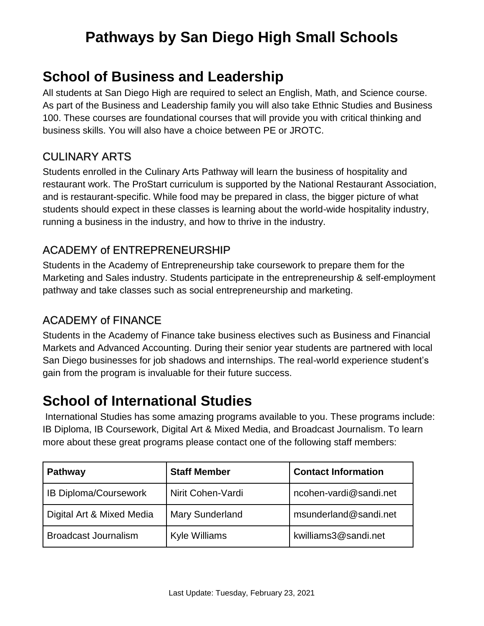# **Pathways by San Diego High Small Schools**

## **School of Business and Leadership**

All students at San Diego High are required to select an English, Math, and Science course. As part of the Business and Leadership family you will also take Ethnic Studies and Business 100. These courses are foundational courses that will provide you with critical thinking and business skills. You will also have a choice between PE or JROTC.

## CULINARY ARTS

Students enrolled in the Culinary Arts Pathway will learn the business of hospitality and restaurant work. The ProStart curriculum is supported by the National Restaurant Association, and is restaurant-specific. While food may be prepared in class, the bigger picture of what students should expect in these classes is learning about the world-wide hospitality industry, running a business in the industry, and how to thrive in the industry.

## ACADEMY of ENTREPRENEURSHIP

Students in the Academy of Entrepreneurship take coursework to prepare them for the Marketing and Sales industry. Students participate in the entrepreneurship & self-employment pathway and take classes such as social entrepreneurship and marketing.

## ACADEMY of FINANCE

Students in the Academy of Finance take business electives such as Business and Financial Markets and Advanced Accounting. During their senior year students are partnered with local San Diego businesses for job shadows and internships. The real-world experience student's gain from the program is invaluable for their future success.

## **School of International Studies**

International Studies has some amazing programs available to you. These programs include: IB Diploma, IB Coursework, Digital Art & Mixed Media, and Broadcast Journalism. To learn more about these great programs please contact one of the following staff members:

| <b>Pathway</b>               | <b>Staff Member</b>    | <b>Contact Information</b> |
|------------------------------|------------------------|----------------------------|
| <b>IB Diploma/Coursework</b> | Nirit Cohen-Vardi      | ncohen-vardi@sandi.net     |
| Digital Art & Mixed Media    | <b>Mary Sunderland</b> | msunderland@sandi.net      |
| <b>Broadcast Journalism</b>  | <b>Kyle Williams</b>   | kwilliams3@sandi.net       |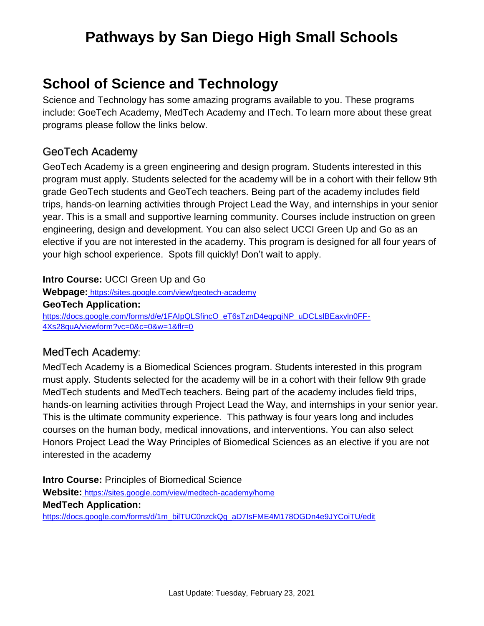# **Pathways by San Diego High Small Schools**

## **School of Science and Technology**

Science and Technology has some amazing programs available to you. These programs include: GoeTech Academy, MedTech Academy and ITech. To learn more about these great programs please follow the links below.

### GeoTech Academy

GeoTech Academy is a green engineering and design program. Students interested in this program must apply. Students selected for the academy will be in a cohort with their fellow 9th grade GeoTech students and GeoTech teachers. Being part of the academy includes field trips, hands-on learning activities through Project Lead the Way, and internships in your senior year. This is a small and supportive learning community. Courses include instruction on green engineering, design and development. You can also select UCCI Green Up and Go as an elective if you are not interested in the academy. This program is designed for all four years of your high school experience. Spots fill quickly! Don't wait to apply.

#### **Intro Course:** UCCI Green Up and Go

**Webpage:** <https://sites.google.com/view/geotech-academy> **GeoTech Application[:](https://docs.google.com/forms/d/e/1FAIpQLSfincO_eT6sTznD4eqpqiNP_uDCLslBEaxvln0FF-4Xs28quA/viewform?vc=0&c=0&w=1&flr=0)** [https://docs.google.com/forms/d/e/1FAIpQLSfincO\\_eT6sTznD4eqpqiNP\\_uDCLslBEaxvln0FF-](https://docs.google.com/forms/d/e/1FAIpQLSfincO_eT6sTznD4eqpqiNP_uDCLslBEaxvln0FF-4Xs28quA/viewform?vc=0&c=0&w=1&flr=0)[4Xs28quA/viewform?vc=0&c=0&w=1&flr=0](https://docs.google.com/forms/d/e/1FAIpQLSfincO_eT6sTznD4eqpqiNP_uDCLslBEaxvln0FF-4Xs28quA/viewform?vc=0&c=0&w=1&flr=0)

### MedTech Academy:

MedTech Academy is a Biomedical Sciences program. Students interested in this program must apply. Students selected for the academy will be in a cohort with their fellow 9th grade MedTech students and MedTech teachers. Being part of the academy includes field trips, hands-on learning activities through Project Lead the Way, and internships in your senior year. This is the ultimate community experience. This pathway is four years long and includes courses on the human body, medical innovations, and interventions. You can also select Honors Project Lead the Way Principles of Biomedical Sciences as an elective if you are not interested in the academy

**Intro Course:** Principles of Biomedical Science **Website:** <https://sites.google.com/view/medtech-academy/home> **MedTech Application[:](https://docs.google.com/forms/d/1m_bilTUC0nzckQg_aD7IsFME4M178OGDn4e9JYCoiTU/edit)** [https://docs.google.com/forms/d/1m\\_bilTUC0nzckQg\\_aD7IsFME4M178OGDn4e9JYCoiTU/edit](https://docs.google.com/forms/d/1m_bilTUC0nzckQg_aD7IsFME4M178OGDn4e9JYCoiTU/edit)